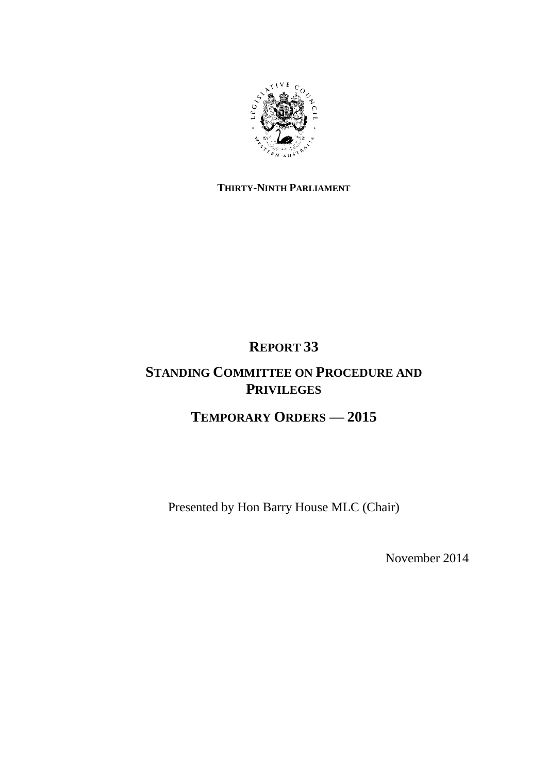

## **THIRTY-NINTH PARLIAMENT**

# **REPORT 33**

# **STANDING COMMITTEE ON PROCEDURE AND PRIVILEGES**

# **TEMPORARY ORDERS — 2015**

Presented by Hon Barry House MLC (Chair)

November 2014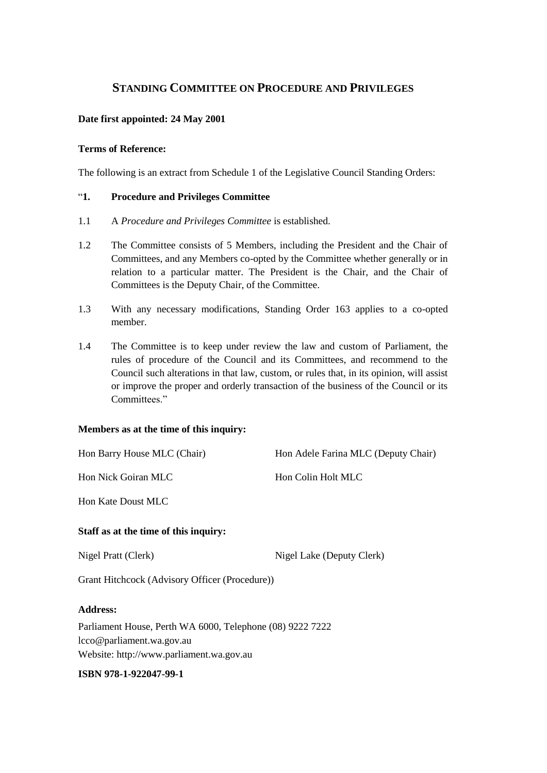### **STANDING COMMITTEE ON PROCEDURE AND PRIVILEGES**

#### **Date first appointed: 24 May 2001**

#### **Terms of Reference:**

The following is an extract from Schedule 1 of the Legislative Council Standing Orders:

### "**1. Procedure and Privileges Committee**

- 1.1 A *Procedure and Privileges Committee* is established.
- 1.2 The Committee consists of 5 Members, including the President and the Chair of Committees, and any Members co-opted by the Committee whether generally or in relation to a particular matter. The President is the Chair, and the Chair of Committees is the Deputy Chair, of the Committee.
- 1.3 With any necessary modifications, Standing Order 163 applies to a co-opted member.
- 1.4 The Committee is to keep under review the law and custom of Parliament, the rules of procedure of the Council and its Committees, and recommend to the Council such alterations in that law, custom, or rules that, in its opinion, will assist or improve the proper and orderly transaction of the business of the Council or its Committees."

#### **Members as at the time of this inquiry:**

| Hon Barry House MLC (Chair)           | Hon Adele Farina MLC (Deputy Chair) |
|---------------------------------------|-------------------------------------|
| <b>Hon Nick Goiran MLC</b>            | Hon Colin Holt MLC                  |
| Hon Kate Doust MLC                    |                                     |
| Staff as at the time of this inquiry: |                                     |
| Nigel Pratt (Clerk)                   | Nigel Lake (Deputy Clerk)           |

Grant Hitchcock (Advisory Officer (Procedure))

#### **Address:**

Parliament House, Perth WA 6000, Telephone (08) 9222 7222 lcco@parliament.wa.gov.au Website: http://www.parliament.wa.gov.au

#### **ISBN 978-1-922047-99-1**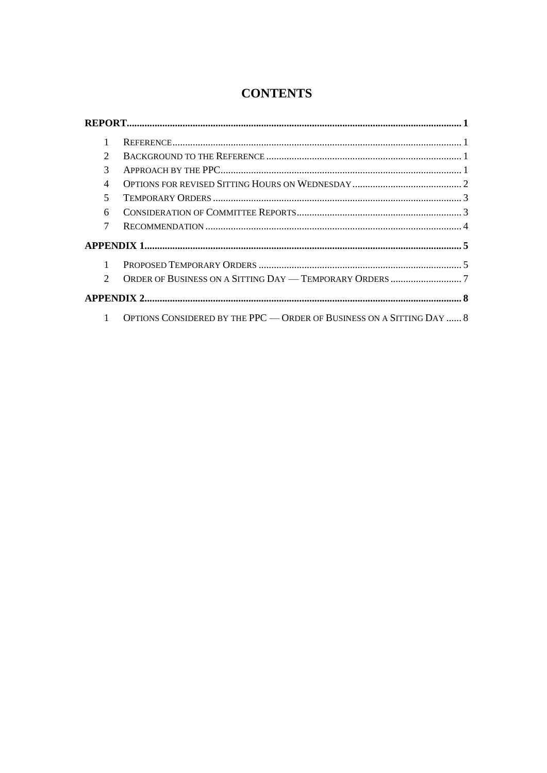## **CONTENTS**

| $\overline{c}$              |                                                                       |  |
|-----------------------------|-----------------------------------------------------------------------|--|
| 3                           |                                                                       |  |
| 4                           |                                                                       |  |
| 5                           |                                                                       |  |
| 6                           |                                                                       |  |
| 7                           |                                                                       |  |
|                             |                                                                       |  |
|                             |                                                                       |  |
| $\mathcal{D}_{\mathcal{L}}$ |                                                                       |  |
|                             |                                                                       |  |
|                             | OPTIONS CONSIDERED BY THE PPC — ORDER OF BUSINESS ON A SITTING DAY  8 |  |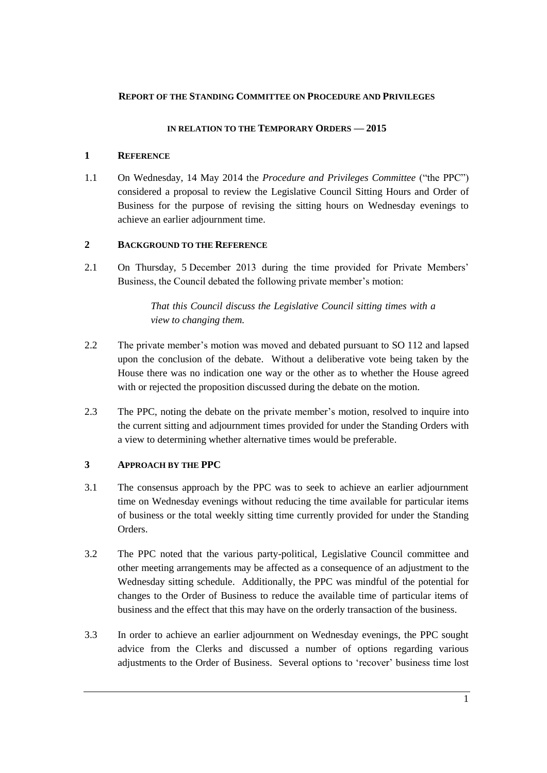#### <span id="page-4-0"></span>**REPORT OF THE STANDING COMMITTEE ON PROCEDURE AND PRIVILEGES**

#### **IN RELATION TO THE TEMPORARY ORDERS — 2015**

### <span id="page-4-1"></span>**1 REFERENCE**

1.1 On Wednesday, 14 May 2014 the *Procedure and Privileges Committee* ("the PPC") considered a proposal to review the Legislative Council Sitting Hours and Order of Business for the purpose of revising the sitting hours on Wednesday evenings to achieve an earlier adjournment time.

#### <span id="page-4-2"></span>**2 BACKGROUND TO THE REFERENCE**

2.1 On Thursday, 5 December 2013 during the time provided for Private Members' Business, the Council debated the following private member's motion:

> *That this Council discuss the Legislative Council sitting times with a view to changing them.*

- 2.2 The private member's motion was moved and debated pursuant to SO 112 and lapsed upon the conclusion of the debate. Without a deliberative vote being taken by the House there was no indication one way or the other as to whether the House agreed with or rejected the proposition discussed during the debate on the motion.
- 2.3 The PPC, noting the debate on the private member's motion, resolved to inquire into the current sitting and adjournment times provided for under the Standing Orders with a view to determining whether alternative times would be preferable.

### <span id="page-4-3"></span>**3 APPROACH BY THE PPC**

- 3.1 The consensus approach by the PPC was to seek to achieve an earlier adjournment time on Wednesday evenings without reducing the time available for particular items of business or the total weekly sitting time currently provided for under the Standing Orders.
- 3.2 The PPC noted that the various party-political, Legislative Council committee and other meeting arrangements may be affected as a consequence of an adjustment to the Wednesday sitting schedule. Additionally, the PPC was mindful of the potential for changes to the Order of Business to reduce the available time of particular items of business and the effect that this may have on the orderly transaction of the business.
- 3.3 In order to achieve an earlier adjournment on Wednesday evenings, the PPC sought advice from the Clerks and discussed a number of options regarding various adjustments to the Order of Business. Several options to 'recover' business time lost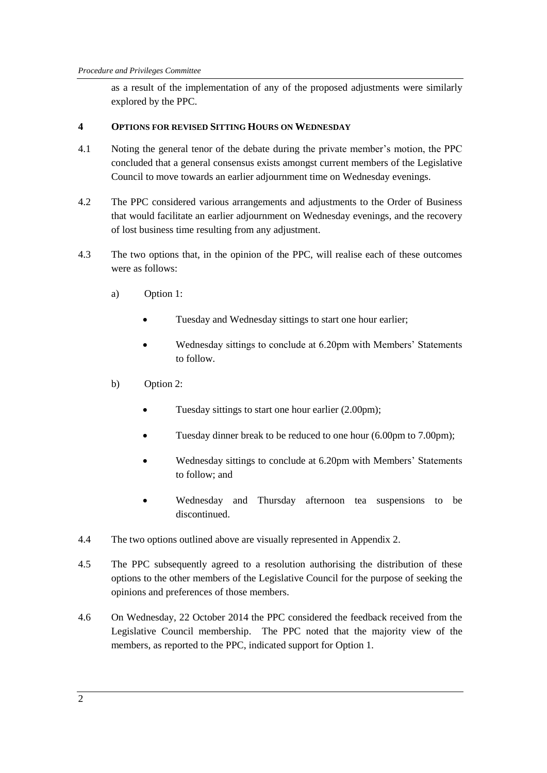as a result of the implementation of any of the proposed adjustments were similarly explored by the PPC.

#### <span id="page-5-0"></span>**4 OPTIONS FOR REVISED SITTING HOURS ON WEDNESDAY**

- 4.1 Noting the general tenor of the debate during the private member's motion, the PPC concluded that a general consensus exists amongst current members of the Legislative Council to move towards an earlier adjournment time on Wednesday evenings.
- 4.2 The PPC considered various arrangements and adjustments to the Order of Business that would facilitate an earlier adjournment on Wednesday evenings, and the recovery of lost business time resulting from any adjustment.
- 4.3 The two options that, in the opinion of the PPC, will realise each of these outcomes were as follows:
	- a) Option 1:
		- Tuesday and Wednesday sittings to start one hour earlier;
		- Wednesday sittings to conclude at 6.20pm with Members' Statements to follow.
	- b) Option 2:
		- Tuesday sittings to start one hour earlier (2.00pm);
		- Tuesday dinner break to be reduced to one hour (6.00pm to 7.00pm);
		- Wednesday sittings to conclude at 6.20pm with Members' Statements to follow; and
		- Wednesday and Thursday afternoon tea suspensions to be discontinued.
- 4.4 The two options outlined above are visually represented in Appendix 2.
- 4.5 The PPC subsequently agreed to a resolution authorising the distribution of these options to the other members of the Legislative Council for the purpose of seeking the opinions and preferences of those members.
- 4.6 On Wednesday, 22 October 2014 the PPC considered the feedback received from the Legislative Council membership. The PPC noted that the majority view of the members, as reported to the PPC, indicated support for Option 1.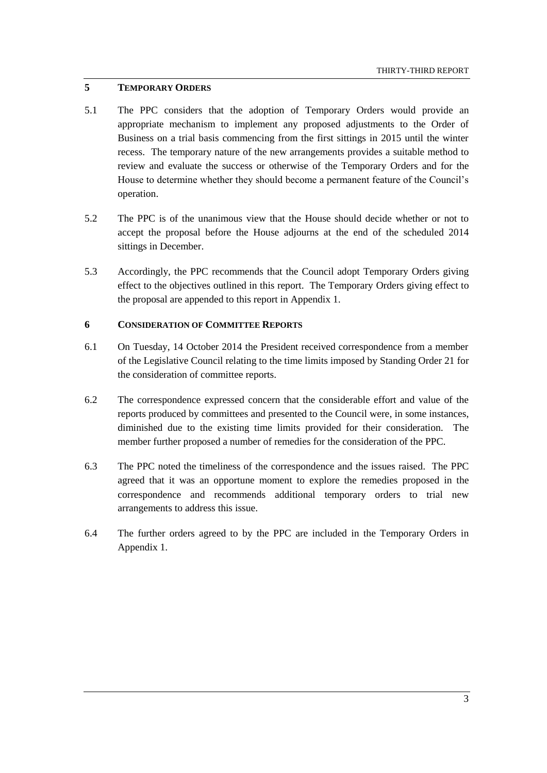#### <span id="page-6-0"></span>**5 TEMPORARY ORDERS**

- 5.1 The PPC considers that the adoption of Temporary Orders would provide an appropriate mechanism to implement any proposed adjustments to the Order of Business on a trial basis commencing from the first sittings in 2015 until the winter recess. The temporary nature of the new arrangements provides a suitable method to review and evaluate the success or otherwise of the Temporary Orders and for the House to determine whether they should become a permanent feature of the Council's operation.
- 5.2 The PPC is of the unanimous view that the House should decide whether or not to accept the proposal before the House adjourns at the end of the scheduled 2014 sittings in December.
- 5.3 Accordingly, the PPC recommends that the Council adopt Temporary Orders giving effect to the objectives outlined in this report. The Temporary Orders giving effect to the proposal are appended to this report in Appendix 1.

#### <span id="page-6-1"></span>**6 CONSIDERATION OF COMMITTEE REPORTS**

- 6.1 On Tuesday, 14 October 2014 the President received correspondence from a member of the Legislative Council relating to the time limits imposed by Standing Order 21 for the consideration of committee reports.
- 6.2 The correspondence expressed concern that the considerable effort and value of the reports produced by committees and presented to the Council were, in some instances, diminished due to the existing time limits provided for their consideration. The member further proposed a number of remedies for the consideration of the PPC.
- 6.3 The PPC noted the timeliness of the correspondence and the issues raised. The PPC agreed that it was an opportune moment to explore the remedies proposed in the correspondence and recommends additional temporary orders to trial new arrangements to address this issue.
- 6.4 The further orders agreed to by the PPC are included in the Temporary Orders in Appendix 1.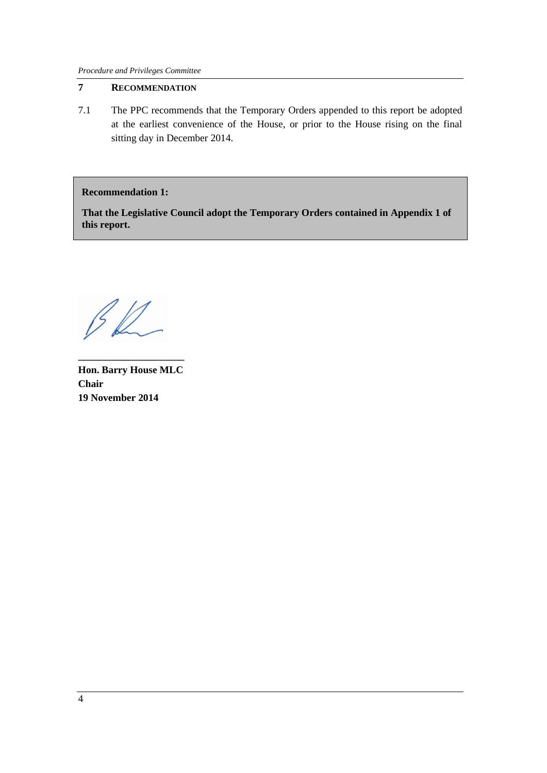### <span id="page-7-0"></span>**7 RECOMMENDATION**

7.1 The PPC recommends that the Temporary Orders appended to this report be adopted at the earliest convenience of the House, or prior to the House rising on the final sitting day in December 2014.

### **Recommendation 1:**

**That the Legislative Council adopt the Temporary Orders contained in Appendix 1 of this report.** 

 $\mathbb{Z}^2$  $\sqrt{2}$ 

**Hon. Barry House MLC Chair 19 November 2014**

**\_\_\_\_\_\_\_\_\_\_\_\_\_\_\_\_\_\_\_\_\_**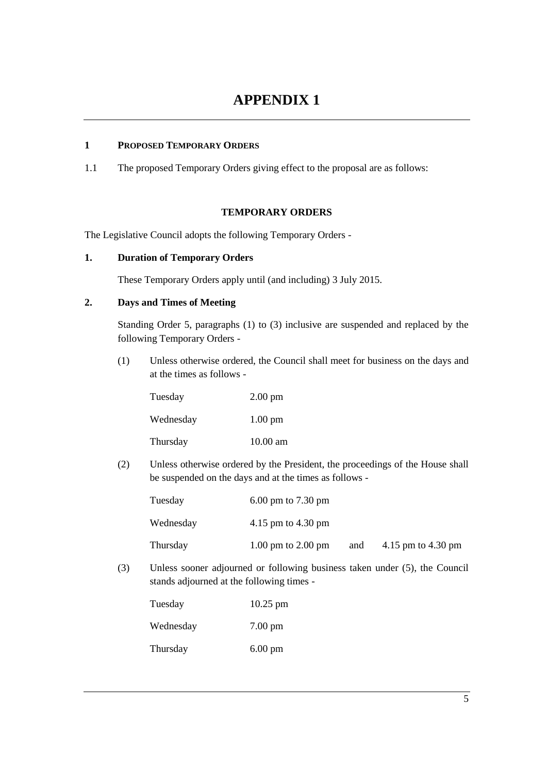#### <span id="page-8-1"></span><span id="page-8-0"></span>**1 PROPOSED TEMPORARY ORDERS**

1.1 The proposed Temporary Orders giving effect to the proposal are as follows:

#### **TEMPORARY ORDERS**

The Legislative Council adopts the following Temporary Orders -

#### **1. Duration of Temporary Orders**

These Temporary Orders apply until (and including) 3 July 2015.

#### **2. Days and Times of Meeting**

Standing Order 5, paragraphs (1) to (3) inclusive are suspended and replaced by the following Temporary Orders -

(1) Unless otherwise ordered, the Council shall meet for business on the days and at the times as follows -

| Tuesday   | $2.00 \text{ pm}$  |
|-----------|--------------------|
| Wednesday | $1.00 \text{ pm}$  |
| Thursday  | $10.00 \text{ am}$ |

(2) Unless otherwise ordered by the President, the proceedings of the House shall be suspended on the days and at the times as follows -

| Tuesday   | $6.00$ pm to 7.30 pm                   |     |                    |
|-----------|----------------------------------------|-----|--------------------|
| Wednesday | 4.15 pm to 4.30 pm                     |     |                    |
| Thursday  | $1.00 \text{ pm}$ to $2.00 \text{ pm}$ | and | 4.15 pm to 4.30 pm |

(3) Unless sooner adjourned or following business taken under (5), the Council stands adjourned at the following times -

| Tuesday   | $10.25$ pm        |
|-----------|-------------------|
| Wednesday | $7.00 \text{ pm}$ |
| Thursday  | $6.00 \text{ pm}$ |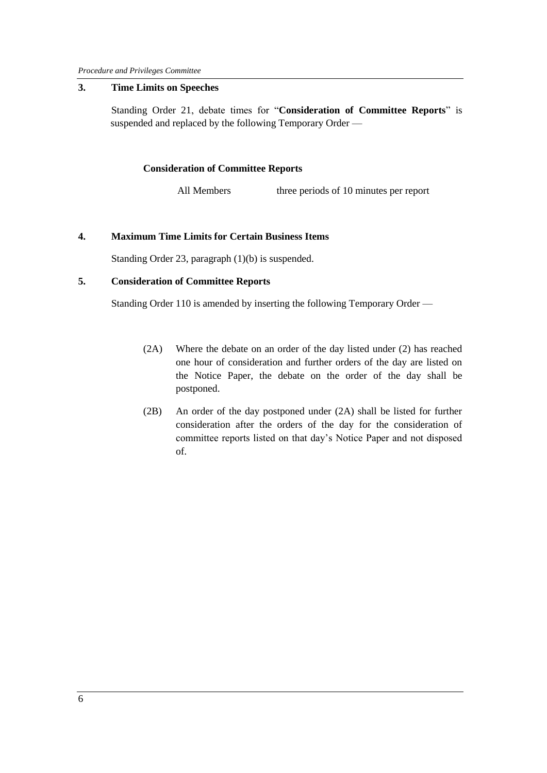#### **3. Time Limits on Speeches**

Standing Order 21, debate times for "**Consideration of Committee Reports**" is suspended and replaced by the following Temporary Order —

#### **Consideration of Committee Reports**

All Members three periods of 10 minutes per report

### **4. Maximum Time Limits for Certain Business Items**

Standing Order 23, paragraph (1)(b) is suspended.

#### **5. Consideration of Committee Reports**

Standing Order 110 is amended by inserting the following Temporary Order —

- (2A) Where the debate on an order of the day listed under (2) has reached one hour of consideration and further orders of the day are listed on the Notice Paper, the debate on the order of the day shall be postponed.
- (2B) An order of the day postponed under (2A) shall be listed for further consideration after the orders of the day for the consideration of committee reports listed on that day's Notice Paper and not disposed of.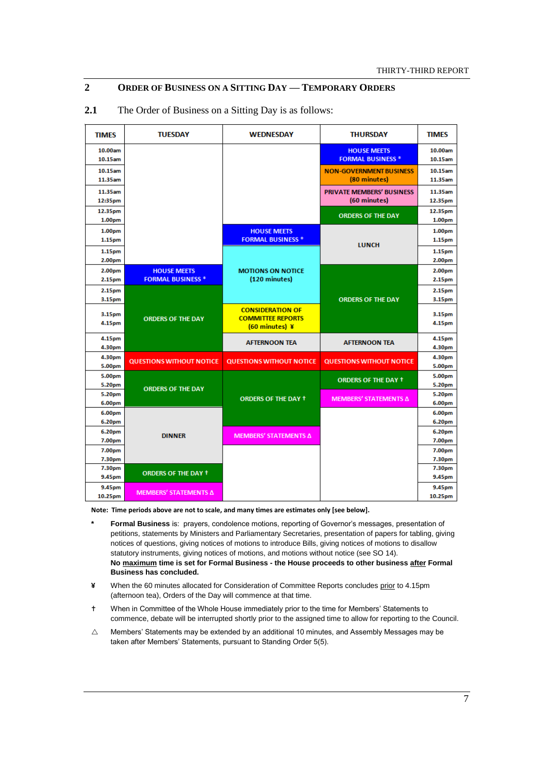### <span id="page-10-0"></span>**2 ORDER OF BUSINESS ON A SITTING DAY — TEMPORARY ORDERS**

| <b>TIMES</b>       | <b>TUESDAY</b>                  | <b>WEDNESDAY</b>                | <b>THURSDAY</b>                  | <b>TIMES</b>       |
|--------------------|---------------------------------|---------------------------------|----------------------------------|--------------------|
| 10.00am            |                                 |                                 | <b>HOUSE MEETS</b>               | 10.00am            |
| 10.15am            |                                 |                                 | <b>FORMAL BUSINESS *</b>         | 10.15am            |
| 10.15am            |                                 |                                 | <b>NON-GOVERNMENT BUSINESS</b>   | 10.15am            |
| 11.35am            |                                 |                                 | (80 minutes)                     | 11.35am            |
| 11.35am            |                                 |                                 | <b>PRIVATE MEMBERS' BUSINESS</b> | 11.35am            |
| 12:35pm            |                                 |                                 | (60 minutes)                     | 12.35pm            |
| 12.35pm            |                                 |                                 |                                  | 12.35pm            |
| 1.00pm             |                                 |                                 | <b>ORDERS OF THE DAY</b>         | 1.00pm             |
| 1.00pm             |                                 | <b>HOUSE MEETS</b>              |                                  | 1.00pm             |
| 1.15pm             |                                 | <b>FORMAL BUSINESS *</b>        | <b>LUNCH</b>                     | 1.15pm             |
| 1.15pm             |                                 |                                 |                                  | 1.15pm             |
| 2.00pm             |                                 |                                 |                                  | 2.00 <sub>pm</sub> |
| 2.00 <sub>pm</sub> | <b>HOUSE MEETS</b>              | <b>MOTIONS ON NOTICE</b>        |                                  | 2.00 <sub>pm</sub> |
| 2.15pm             | <b>FORMAL BUSINESS *</b>        | (120 minutes)                   |                                  | 2.15pm             |
| 2.15pm             |                                 |                                 |                                  | 2.15pm             |
| 3.15pm             |                                 |                                 | <b>ORDERS OF THE DAY</b>         | 3.15pm             |
| 3.15pm             |                                 | <b>CONSIDERATION OF</b>         |                                  | 3.15pm             |
| 4.15pm             | <b>ORDERS OF THE DAY</b>        | <b>COMMITTEE REPORTS</b>        |                                  | 4.15pm             |
|                    |                                 | $(60$ minutes) ¥                |                                  |                    |
| 4.15pm             |                                 | <b>AFTERNOON TEA</b>            | <b>AFTERNOON TEA</b>             | 4.15pm             |
| 4.30pm             |                                 |                                 |                                  | 4.30pm             |
| 4.30pm             | <b>QUESTIONS WITHOUT NOTICE</b> | <b>QUESTIONS WITHOUT NOTICE</b> | <b>QUESTIONS WITHOUT NOTICE</b>  | 4.30pm             |
| 5.00pm             |                                 |                                 |                                  | 5.00pm             |
| 5.00pm<br>5.20pm   |                                 |                                 | <b>ORDERS OF THE DAY +</b>       | 5.00pm<br>5.20pm   |
| 5.20pm             | <b>ORDERS OF THE DAY</b>        |                                 |                                  | 5.20pm             |
| 6.00pm             |                                 | <b>ORDERS OF THE DAY +</b>      | MEMBERS' STATEMENTS Δ            | 6.00pm             |
| 6.00pm             |                                 |                                 |                                  | 6.00pm             |
| 6.20pm             |                                 |                                 |                                  | 6.20pm             |
| 6.20pm             |                                 |                                 |                                  | 6.20pm             |
| 7.00pm             | <b>DINNER</b>                   | MEMBERS' STATEMENTS Δ           |                                  | 7.00pm             |
| 7.00pm             |                                 |                                 |                                  | 7.00pm             |
| 7.30pm             |                                 |                                 |                                  | 7.30pm             |
| 7.30pm             | <b>ORDERS OF THE DAY +</b>      |                                 |                                  | 7.30pm             |
| 9.45pm             |                                 |                                 |                                  | 9.45pm             |
| 9.45pm             | MEMBERS' STATEMENTS Δ           |                                 |                                  | 9.45pm             |
| 10.25pm            |                                 |                                 |                                  | 10.25pm            |

#### **2.1** The Order of Business on a Sitting Day is as follows:

**Note: Time periods above are not to scale, and many times are estimates only [see below].**

- **\* Formal Business** is: prayers, condolence motions, reporting of Governor's messages, presentation of petitions, statements by Ministers and Parliamentary Secretaries, presentation of papers for tabling, giving notices of questions, giving notices of motions to introduce Bills, giving notices of motions to disallow statutory instruments, giving notices of motions, and motions without notice (see SO 14). **No maximum time is set for Formal Business - the House proceeds to other business after Formal Business has concluded.**
- **¥** When the 60 minutes allocated for Consideration of Committee Reports concludes prior to 4.15pm (afternoon tea), Orders of the Day will commence at that time.
- When in Committee of the Whole House immediately prior to the time for Members' Statements to commence, debate will be interrupted shortly prior to the assigned time to allow for reporting to the Council.
- $\triangle$  Members' Statements may be extended by an additional 10 minutes, and Assembly Messages may be taken after Members' Statements, pursuant to Standing Order 5(5).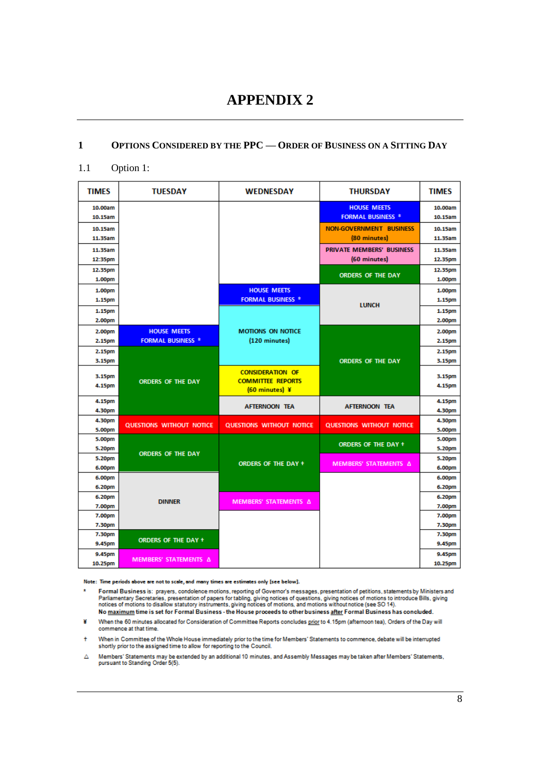## **APPENDIX 2**

#### <span id="page-11-1"></span><span id="page-11-0"></span>**1 OPTIONS CONSIDERED BY THE PPC — ORDER OF BUSINESS ON A SITTING DAY**

#### 1.1 Option 1:

| <b>TIMES</b>     | <b>TUESDAY</b>           | <b>WEDNESDAY</b>         | <b>THURSDAY</b>                | <b>TIMES</b>     |
|------------------|--------------------------|--------------------------|--------------------------------|------------------|
| 10.00am          |                          |                          | <b>HOUSE MEETS</b>             | 10.00am          |
| 10.15am          |                          |                          | <b>FORMAL BUSINESS *</b>       | 10.15am          |
| 10.15am          |                          |                          | <b>NON-GOVERNMENT BUSINESS</b> | 10.15am          |
| 11.35am          |                          |                          | (80 minutes)                   | 11.35am          |
| 11.35am          |                          |                          | PRIVATE MEMBERS' BUSINESS      | 11.35am          |
| 12:35pm          |                          |                          | (60 minutes)                   | 12.35pm          |
| 12.35pm          |                          |                          |                                | 12.35pm          |
| 1.00pm           |                          |                          | <b>ORDERS OF THE DAY</b>       | 1.00pm           |
| 1.00pm           |                          | <b>HOUSE MEETS</b>       |                                | 1.00pm           |
| 1.15pm           |                          | <b>FORMAL BUSINESS *</b> |                                | 1.15pm           |
| 1.15pm           |                          |                          | <b>LUNCH</b>                   | 1.15pm           |
| 2.00pm           |                          |                          |                                | 2.00pm           |
| 2.00pm           | <b>HOUSE MEETS</b>       | <b>MOTIONS ON NOTICE</b> |                                | 2.00pm           |
| 2.15pm           | <b>FORMAL BUSINESS *</b> | (120 minutes)            |                                | 2.15pm           |
| 2.15pm           |                          |                          |                                | 2.15pm           |
| 3.15pm           |                          |                          | <b>ORDERS OF THE DAY</b>       | 3.15pm           |
|                  |                          | <b>CONSIDERATION OF</b>  |                                |                  |
| 3.15pm<br>4.15pm | <b>ORDERS OF THE DAY</b> | <b>COMMITTEE REPORTS</b> |                                | 3.15pm<br>4.15pm |
|                  |                          | $(60$ minutes) ¥         |                                |                  |
| 4.15pm           |                          | <b>AFTERNOON TEA</b>     | <b>AFTERNOON TEA</b>           | 4.15pm           |
| 4.30pm           |                          |                          |                                | 4.30pm           |
| 4.30pm           | QUESTIONS WITHOUT NOTICE | QUESTIONS WITHOUT NOTICE | QUESTIONS WITHOUT NOTICE       | 4.30pm           |
| 5.00pm           |                          |                          |                                | 5.00pm           |
| 5.00pm           |                          |                          | ORDERS OF THE DAY +            | 5.00pm           |
| 5.20pm           | ORDERS OF THE DAY        |                          |                                | 5.20pm           |
| 5.20pm<br>6.00pm |                          | ORDERS OF THE DAY +      | MEMBERS' STATEMENTS Δ          | 5.20pm<br>6.00pm |
| 6.00pm           |                          |                          |                                | 6.00pm           |
| 6.20pm           |                          |                          |                                | 6.20pm           |
| 6.20pm           |                          |                          |                                | 6.20pm           |
| 7.00pm           | <b>DINNER</b>            | MEMBERS' STATEMENTS Δ    |                                | 7.00pm           |
| 7.00pm           |                          |                          |                                | 7.00pm           |
| 7.30pm           |                          |                          |                                | 7.30pm           |
| 7.30pm           |                          |                          |                                | 7.30pm           |
| 9.45pm           | ORDERS OF THE DAY +      |                          |                                | 9.45pm           |
| 9.45pm           |                          |                          |                                | 9.45pm           |
| 10.25pm          | MEMBERS' STATEMENTS Δ    |                          |                                | 10.25pm          |

Note: Time periods above are not to scale, and many times are estimates only [see below].

- Formal Business is: prayers, condolence continues conditions in the conditions, statements by Ministers and Parliamentary Secretaries, presentation of papers for tubling, giving notices of questions, giving notices of moti  $\star$
- ¥ When the 60 minutes allocated for Consideration of Committee Reports concludes prior to 4.15pm (afternoon tea), Orders of the Day will commence at that time.
- When in Committee of the Whole House immediately prior to the time for Members' Statements to commence, debate will be interrupted Ŧ shortly prior to the assigned time to allow for reporting to the Council.
- $\triangle$  Members' Statements may be extended by an additional 10 minutes, and Assembly Messages may be taken after Members' Statements, pursuant to Standing Order 5(5).